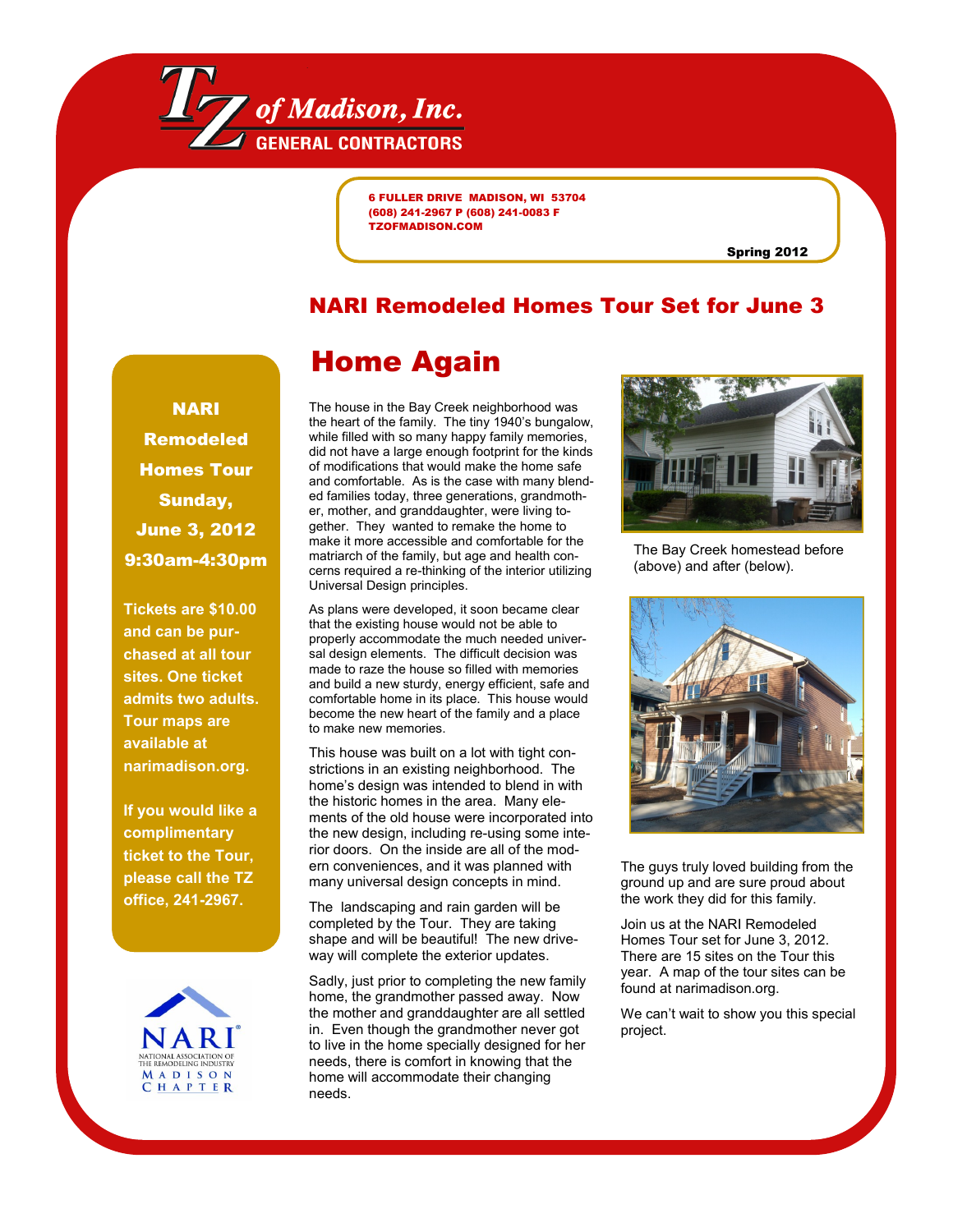

6 FULLER DRIVE MADISON, WI 53704 (608) 241-2967 P (608) 241-0083 F TZOFMADISON.COM

Spring 2012

## NARI Remodeled Homes Tour Set for June 3

## NARI Remodeled Homes Tour Sunday, June 3, 2012 9:30am-4:30pm

**Tickets are \$10.00 and can be purchased at all tour sites. One ticket admits two adults. Tour maps are available at narimadison.org.** 

**If you would like a complimentary ticket to the Tour, please call the TZ office, 241-2967.**



# Home Again

The house in the Bay Creek neighborhood was the heart of the family. The tiny 1940's bungalow, while filled with so many happy family memories, did not have a large enough footprint for the kinds of modifications that would make the home safe and comfortable. As is the case with many blended families today, three generations, grandmother, mother, and granddaughter, were living together. They wanted to remake the home to make it more accessible and comfortable for the matriarch of the family, but age and health concerns required a re-thinking of the interior utilizing Universal Design principles.

As plans were developed, it soon became clear that the existing house would not be able to properly accommodate the much needed universal design elements. The difficult decision was made to raze the house so filled with memories and build a new sturdy, energy efficient, safe and comfortable home in its place. This house would become the new heart of the family and a place to make new memories.

This house was built on a lot with tight constrictions in an existing neighborhood. The home's design was intended to blend in with the historic homes in the area. Many elements of the old house were incorporated into the new design, including re-using some interior doors. On the inside are all of the modern conveniences, and it was planned with many universal design concepts in mind.

The landscaping and rain garden will be completed by the Tour. They are taking shape and will be beautiful! The new driveway will complete the exterior updates.

Sadly, just prior to completing the new family home, the grandmother passed away. Now the mother and granddaughter are all settled in. Even though the grandmother never got to live in the home specially designed for her needs, there is comfort in knowing that the home will accommodate their changing needs.



The Bay Creek homestead before (above) and after (below).



The guys truly loved building from the ground up and are sure proud about the work they did for this family.

Join us at the NARI Remodeled Homes Tour set for June 3, 2012. There are 15 sites on the Tour this year. A map of the tour sites can be found at narimadison.org.

We can't wait to show you this special project.